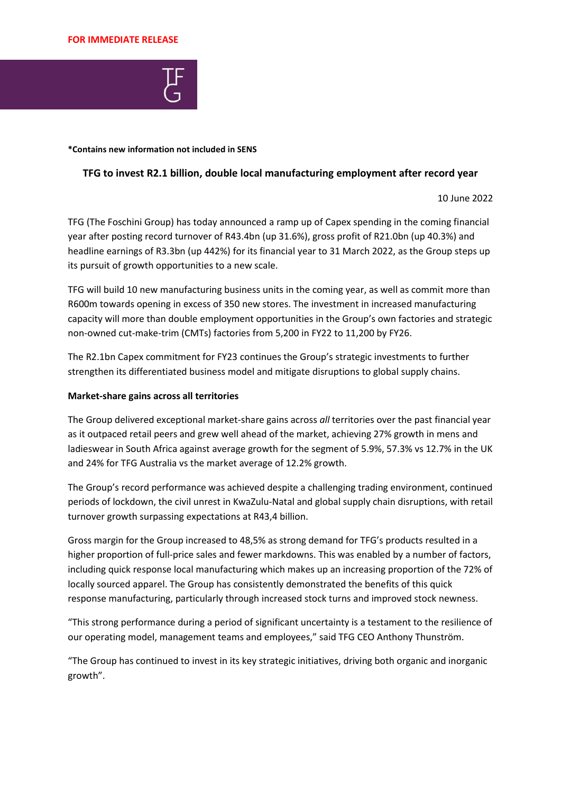

**\*Contains new information not included in SENS**

## **TFG to invest R2.1 billion, double local manufacturing employment after record year**

10 June 2022

TFG (The Foschini Group) has today announced a ramp up of Capex spending in the coming financial year after posting record turnover of R43.4bn (up 31.6%), gross profit of R21.0bn (up 40.3%) and headline earnings of R3.3bn (up 442%) for its financial year to 31 March 2022, as the Group steps up its pursuit of growth opportunities to a new scale.

TFG will build 10 new manufacturing business units in the coming year, as well as commit more than R600m towards opening in excess of 350 new stores. The investment in increased manufacturing capacity will more than double employment opportunities in the Group's own factories and strategic non-owned cut-make-trim (CMTs) factories from 5,200 in FY22 to 11,200 by FY26.

The R2.1bn Capex commitment for FY23 continues the Group's strategic investments to further strengthen its differentiated business model and mitigate disruptions to global supply chains.

## **Market-share gains across all territories**

The Group delivered exceptional market-share gains across *all* territories over the past financial year as it outpaced retail peers and grew well ahead of the market, achieving 27% growth in mens and ladieswear in South Africa against average growth for the segment of 5.9%, 57.3% vs 12.7% in the UK and 24% for TFG Australia vs the market average of 12.2% growth.

The Group's record performance was achieved despite a challenging trading environment, continued periods of lockdown, the civil unrest in KwaZulu-Natal and global supply chain disruptions, with retail turnover growth surpassing expectations at R43,4 billion.

Gross margin for the Group increased to 48,5% as strong demand for TFG's products resulted in a higher proportion of full-price sales and fewer markdowns. This was enabled by a number of factors, including quick response local manufacturing which makes up an increasing proportion of the 72% of locally sourced apparel. The Group has consistently demonstrated the benefits of this quick response manufacturing, particularly through increased stock turns and improved stock newness.

"This strong performance during a period of significant uncertainty is a testament to the resilience of our operating model, management teams and employees," said TFG CEO Anthony Thunström.

"The Group has continued to invest in its key strategic initiatives, driving both organic and inorganic growth".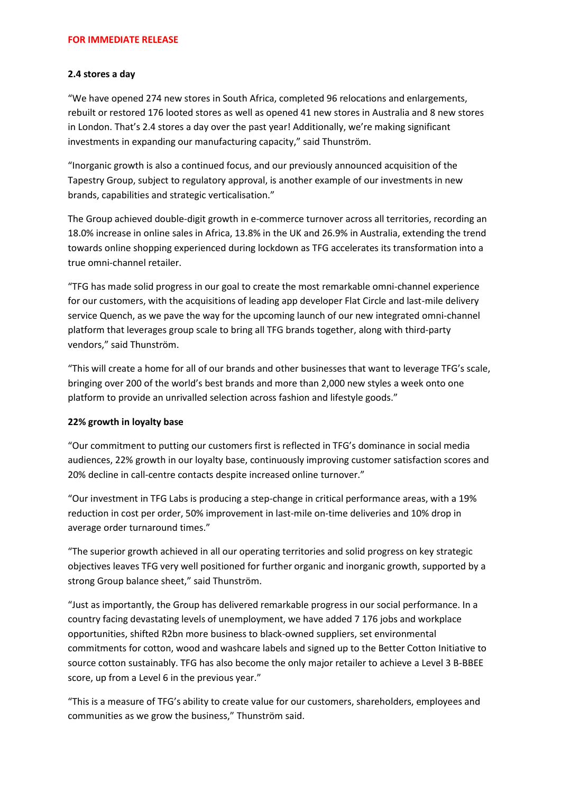## **2.4 stores a day**

"We have opened 274 new stores in South Africa, completed 96 relocations and enlargements, rebuilt or restored 176 looted stores as well as opened 41 new stores in Australia and 8 new stores in London. That's 2.4 stores a day over the past year! Additionally, we're making significant investments in expanding our manufacturing capacity," said Thunström.

"Inorganic growth is also a continued focus, and our previously announced acquisition of the Tapestry Group, subject to regulatory approval, is another example of our investments in new brands, capabilities and strategic verticalisation."

The Group achieved double-digit growth in e-commerce turnover across all territories, recording an 18.0% increase in online sales in Africa, 13.8% in the UK and 26.9% in Australia, extending the trend towards online shopping experienced during lockdown as TFG accelerates its transformation into a true omni-channel retailer.

"TFG has made solid progress in our goal to create the most remarkable omni-channel experience for our customers, with the acquisitions of leading app developer Flat Circle and last-mile delivery service Quench, as we pave the way for the upcoming launch of our new integrated omni-channel platform that leverages group scale to bring all TFG brands together, along with third-party vendors," said Thunström.

"This will create a home for all of our brands and other businesses that want to leverage TFG's scale, bringing over 200 of the world's best brands and more than 2,000 new styles a week onto one platform to provide an unrivalled selection across fashion and lifestyle goods."

# **22% growth in loyalty base**

"Our commitment to putting our customers first is reflected in TFG's dominance in social media audiences, 22% growth in our loyalty base, continuously improving customer satisfaction scores and 20% decline in call-centre contacts despite increased online turnover."

"Our investment in TFG Labs is producing a step-change in critical performance areas, with a 19% reduction in cost per order, 50% improvement in last-mile on-time deliveries and 10% drop in average order turnaround times."

"The superior growth achieved in all our operating territories and solid progress on key strategic objectives leaves TFG very well positioned for further organic and inorganic growth, supported by a strong Group balance sheet," said Thunström.

"Just as importantly, the Group has delivered remarkable progress in our social performance. In a country facing devastating levels of unemployment, we have added 7 176 jobs and workplace opportunities, shifted R2bn more business to black-owned suppliers, set environmental commitments for cotton, wood and washcare labels and signed up to the Better Cotton Initiative to source cotton sustainably. TFG has also become the only major retailer to achieve a Level 3 B-BBEE score, up from a Level 6 in the previous year."

"This is a measure of TFG's ability to create value for our customers, shareholders, employees and communities as we grow the business," Thunström said.